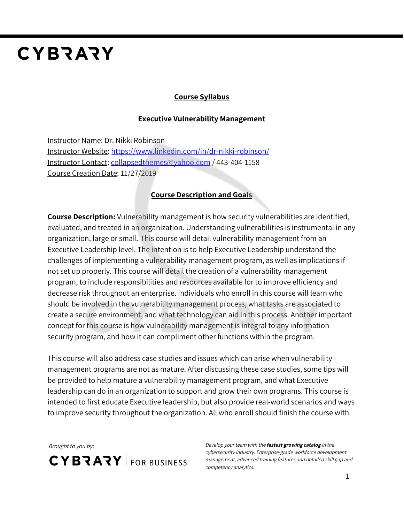# **CYBRARY**

### **Course Syllabus**

#### **Executive Vulnerability Management**

Instructor Name: Dr. Nikki Robinson Instructor Website: <https://www.linkedin.com/in/dr-nikki-robinson/> Instructor Contact: [collapsedthemes@yahoo.com](mailto:collapsedthemes@yahoo.com) / 443-404-1158 Course Creation Date: 11/27/2019

## **Course Description and Goals**

**Course Description:** Vulnerability management is how security vulnerabilities are identified, evaluated, and treated in an organization. Understanding vulnerabilities is instrumental in any organization, large or small. This course will detail vulnerability management from an Executive Leadership level. The intention is to help Executive Leadership understand the challenges of implementing a vulnerability management program, as well as implications if not set up properly. This course will detail the creation of a vulnerability management program, to include responsibilities and resources available for to improve efficiency and decrease risk throughout an enterprise. Individuals who enroll in this course will learn who should be involved in the vulnerability management process, what tasks are associated to create a secure environment, and what technology can aid in this process. Another important concept for this course is how vulnerability management is integral to any information security program, and how it can compliment other functions within the program.

This course will also address case studies and issues which can arise when vulnerability management programs are not as mature. After discussing these case studies, some tips will be provided to help mature a vulnerability management program, and what Executive leadership can do in an organization to support and grow their own programs. This course is intended to first educate Executive leadership, but also provide real-world scenarios and ways to improve security throughout the organization. All who enroll should finish the course with

**CYBRARY** FOR BUSINESS

Brought to you by: Develop your team with the **fastest growing catalog** in the cybersecurity industry. Enterprise-grade workforce development management, advanced training features and detailed skill gap and competency analytics.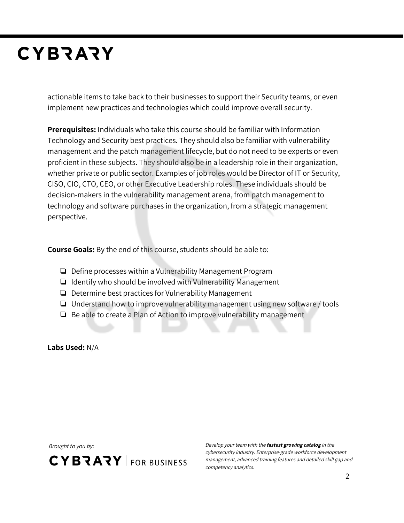# **CYBRARY**

actionable items to take back to their businesses to support their Security teams, or even implement new practices and technologies which could improve overall security.

**Prerequisites:** Individuals who take this course should be familiar with Information Technology and Security best practices. They should also be familiar with vulnerability management and the patch management lifecycle, but do not need to be experts or even proficient in these subjects. They should also be in a leadership role in their organization, whether private or public sector. Examples of job roles would be Director of IT or Security, CISO, CIO, CTO, CEO, or other Executive Leadership roles. These individuals should be decision-makers in the vulnerability management arena, from patch management to technology and software purchases in the organization, from a strategic management perspective.

**Course Goals:** By the end of this course, students should be able to:

- ❏ Define processes within a Vulnerability Management Program
- ❏ Identify who should be involved with Vulnerability Management
- ❏ Determine best practices for Vulnerability Management
- ❏ Understand how to improve vulnerability management using new software / tools
- ❏ Be able to create a Plan of Action to improve vulnerability management

**Labs Used:** N/A

**CYBRARY** FOR BUSINESS

Brought to you by: Develop your team with the **fastest growing catalog** in the cybersecurity industry. Enterprise-grade workforce development management, advanced training features and detailed skill gap and competency analytics.